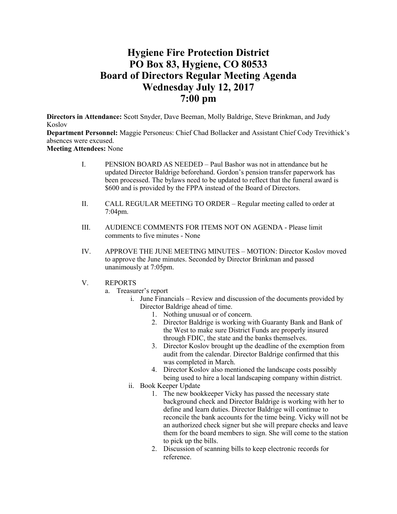# **Hygiene Fire Protection District PO Box 83, Hygiene, CO 80533 Board of Directors Regular Meeting Agenda Wednesday July 12, 2017 7:00 pm**

**Directors in Attendance:** Scott Snyder, Dave Beeman, Molly Baldrige, Steve Brinkman, and Judy Koslov

**Department Personnel:** Maggie Personeus: Chief Chad Bollacker and Assistant Chief Cody Trevithick's absences were excused.

**Meeting Attendees:** None

- I. PENSION BOARD AS NEEDED Paul Bashor was not in attendance but he updated Director Baldrige beforehand. Gordon's pension transfer paperwork has been processed. The bylaws need to be updated to reflect that the funeral award is \$600 and is provided by the FPPA instead of the Board of Directors.
- II. CALL REGULAR MEETING TO ORDER Regular meeting called to order at 7:04pm.
- III. AUDIENCE COMMENTS FOR ITEMS NOT ON AGENDA Please limit comments to five minutes - None
- IV. APPROVE THE JUNE MEETING MINUTES MOTION: Director Koslov moved to approve the June minutes. Seconded by Director Brinkman and passed unanimously at 7:05pm.
- V. REPORTS
	- a. Treasurer's report
		- i. June Financials Review and discussion of the documents provided by Director Baldrige ahead of time.
			- 1. Nothing unusual or of concern.
				- 2. Director Baldrige is working with Guaranty Bank and Bank of the West to make sure District Funds are properly insured through FDIC, the state and the banks themselves.
				- 3. Director Koslov brought up the deadline of the exemption from audit from the calendar. Director Baldrige confirmed that this was completed in March.
			- 4. Director Koslov also mentioned the landscape costs possibly being used to hire a local landscaping company within district.
		- ii. Book Keeper Update
			- 1. The new bookkeeper Vicky has passed the necessary state background check and Director Baldrige is working with her to define and learn duties. Director Baldrige will continue to reconcile the bank accounts for the time being. Vicky will not be an authorized check signer but she will prepare checks and leave them for the board members to sign. She will come to the station to pick up the bills.
			- 2. Discussion of scanning bills to keep electronic records for reference.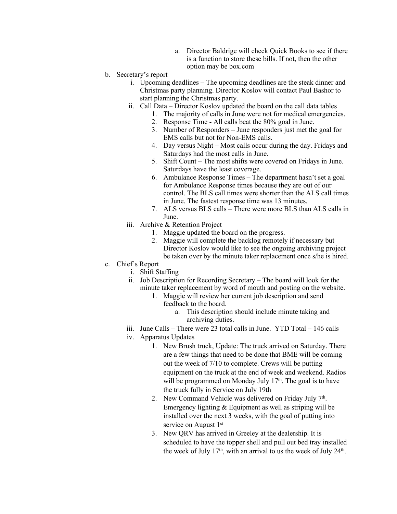- a. Director Baldrige will check Quick Books to see if there is a function to store these bills. If not, then the other option may be box.com
- b. Secretary's report
	- i. Upcoming deadlines The upcoming deadlines are the steak dinner and Christmas party planning. Director Koslov will contact Paul Bashor to start planning the Christmas party.
	- ii. Call Data Director Koslov updated the board on the call data tables
		- 1. The majority of calls in June were not for medical emergencies.
		- 2. Response Time All calls beat the 80% goal in June.
		- 3. Number of Responders June responders just met the goal for EMS calls but not for Non-EMS calls.
		- 4. Day versus Night Most calls occur during the day. Fridays and Saturdays had the most calls in June.
		- 5. Shift Count The most shifts were covered on Fridays in June. Saturdays have the least coverage.
		- 6. Ambulance Response Times The department hasn't set a goal for Ambulance Response times because they are out of our control. The BLS call times were shorter than the ALS call times in June. The fastest response time was 13 minutes.
		- 7. ALS versus BLS calls There were more BLS than ALS calls in June.
	- iii. Archive & Retention Project
		- 1. Maggie updated the board on the progress.
		- 2. Maggie will complete the backlog remotely if necessary but Director Koslov would like to see the ongoing archiving project be taken over by the minute taker replacement once s/he is hired.
- c. Chief's Report
	- i. Shift Staffing
	- ii. Job Description for Recording Secretary The board will look for the minute taker replacement by word of mouth and posting on the website.
		- 1. Maggie will review her current job description and send feedback to the board.
			- a. This description should include minute taking and archiving duties.
	- iii. June Calls There were 23 total calls in June. YTD Total 146 calls
	- iv. Apparatus Updates
		- 1. New Brush truck, Update: The truck arrived on Saturday. There are a few things that need to be done that BME will be coming out the week of 7/10 to complete. Crews will be putting equipment on the truck at the end of week and weekend. Radios will be programmed on Monday July 17<sup>th</sup>. The goal is to have the truck fully in Service on July 19th
		- 2. New Command Vehicle was delivered on Friday July  $7<sup>th</sup>$ . Emergency lighting & Equipment as well as striping will be installed over the next 3 weeks, with the goal of putting into service on August 1st
		- 3. New QRV has arrived in Greeley at the dealership. It is scheduled to have the topper shell and pull out bed tray installed the week of July  $17<sup>th</sup>$ , with an arrival to us the week of July  $24<sup>th</sup>$ .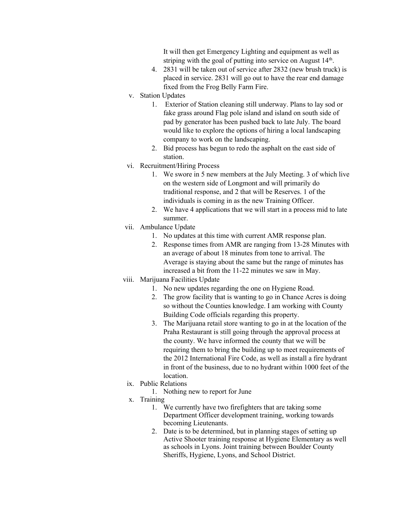It will then get Emergency Lighting and equipment as well as striping with the goal of putting into service on August 14<sup>th</sup>.

- 4. 2831 will be taken out of service after 2832 (new brush truck) is placed in service. 2831 will go out to have the rear end damage fixed from the Frog Belly Farm Fire.
- v. Station Updates
	- 1. Exterior of Station cleaning still underway. Plans to lay sod or fake grass around Flag pole island and island on south side of pad by generator has been pushed back to late July. The board would like to explore the options of hiring a local landscaping company to work on the landscaping.
	- 2. Bid process has begun to redo the asphalt on the east side of station.
- vi. Recruitment/Hiring Process
	- 1. We swore in 5 new members at the July Meeting. 3 of which live on the western side of Longmont and will primarily do traditional response, and 2 that will be Reserves. 1 of the individuals is coming in as the new Training Officer.
	- 2. We have 4 applications that we will start in a process mid to late summer.
- vii. Ambulance Update
	- 1. No updates at this time with current AMR response plan.
	- 2. Response times from AMR are ranging from 13-28 Minutes with an average of about 18 minutes from tone to arrival. The Average is staying about the same but the range of minutes has increased a bit from the 11-22 minutes we saw in May.
- viii. Marijuana Facilities Update
	- 1. No new updates regarding the one on Hygiene Road.
	- 2. The grow facility that is wanting to go in Chance Acres is doing so without the Counties knowledge. I am working with County Building Code officials regarding this property.
	- 3. The Marijuana retail store wanting to go in at the location of the Praha Restaurant is still going through the approval process at the county. We have informed the county that we will be requiring them to bring the building up to meet requirements of the 2012 International Fire Code, as well as install a fire hydrant in front of the business, due to no hydrant within 1000 feet of the location.
	- ix. Public Relations
		- 1. Nothing new to report for June
	- x. Training
		- 1. We currently have two firefighters that are taking some Department Officer development training, working towards becoming Lieutenants.
		- 2. Date is to be determined, but in planning stages of setting up Active Shooter training response at Hygiene Elementary as well as schools in Lyons. Joint training between Boulder County Sheriffs, Hygiene, Lyons, and School District.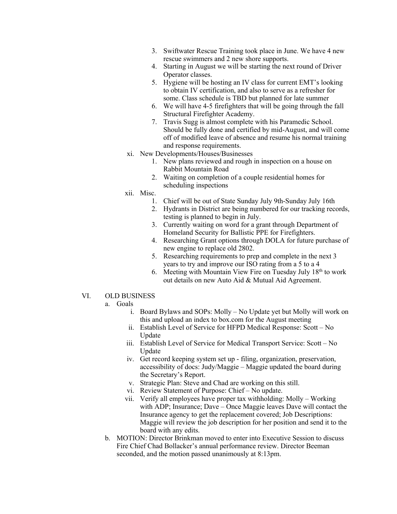- 3. Swiftwater Rescue Training took place in June. We have 4 new rescue swimmers and 2 new shore supports.
- 4. Starting in August we will be starting the next round of Driver Operator classes.
- 5. Hygiene will be hosting an IV class for current EMT's looking to obtain IV certification, and also to serve as a refresher for some. Class schedule is TBD but planned for late summer
- 6. We will have 4-5 firefighters that will be going through the fall Structural Firefighter Academy.
- 7. Travis Sugg is almost complete with his Paramedic School. Should be fully done and certified by mid-August, and will come off of modified leave of absence and resume his normal training and response requirements.
- xi. New Developments/Houses/Businesses
	- 1. New plans reviewed and rough in inspection on a house on Rabbit Mountain Road
	- 2. Waiting on completion of a couple residential homes for scheduling inspections
- xii. Misc.
	- 1. Chief will be out of State Sunday July 9th-Sunday July 16th
	- 2. Hydrants in District are being numbered for our tracking records, testing is planned to begin in July.
	- 3. Currently waiting on word for a grant through Department of Homeland Security for Ballistic PPE for Firefighters.
	- 4. Researching Grant options through DOLA for future purchase of new engine to replace old 2802.
	- 5. Researching requirements to prep and complete in the next 3 years to try and improve our ISO rating from a 5 to a 4
	- 6. Meeting with Mountain View Fire on Tuesday July  $18<sup>th</sup>$  to work out details on new Auto Aid & Mutual Aid Agreement.

### VI. OLD BUSINESS

#### a. Goals

- i. Board Bylaws and SOPs: Molly No Update yet but Molly will work on this and upload an index to box.com for the August meeting
- ii. Establish Level of Service for HFPD Medical Response: Scott No Update
- iii. Establish Level of Service for Medical Transport Service: Scott No Update
- iv. Get record keeping system set up filing, organization, preservation, accessibility of docs: Judy/Maggie – Maggie updated the board during the Secretary's Report.
- v. Strategic Plan: Steve and Chad are working on this still.
- vi. Review Statement of Purpose: Chief No update.
- vii. Verify all employees have proper tax withholding: Molly Working with ADP; Insurance; Dave – Once Maggie leaves Dave will contact the Insurance agency to get the replacement covered; Job Descriptions: Maggie will review the job description for her position and send it to the board with any edits.
- b. MOTION: Director Brinkman moved to enter into Executive Session to discuss Fire Chief Chad Bollacker's annual performance review. Director Beeman seconded, and the motion passed unanimously at 8:13pm.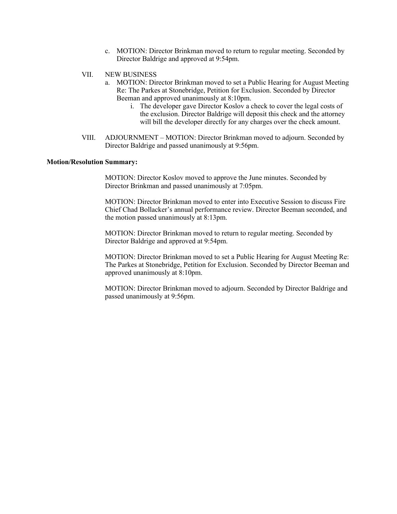- c. MOTION: Director Brinkman moved to return to regular meeting. Seconded by Director Baldrige and approved at 9:54pm.
- VII. NEW BUSINESS
	- a. MOTION: Director Brinkman moved to set a Public Hearing for August Meeting Re: The Parkes at Stonebridge, Petition for Exclusion. Seconded by Director Beeman and approved unanimously at 8:10pm.
		- i. The developer gave Director Koslov a check to cover the legal costs of the exclusion. Director Baldrige will deposit this check and the attorney will bill the developer directly for any charges over the check amount.
- VIII. ADJOURNMENT MOTION: Director Brinkman moved to adjourn. Seconded by Director Baldrige and passed unanimously at 9:56pm.

# **Motion/Resolution Summary:**

MOTION: Director Koslov moved to approve the June minutes. Seconded by Director Brinkman and passed unanimously at 7:05pm.

MOTION: Director Brinkman moved to enter into Executive Session to discuss Fire Chief Chad Bollacker's annual performance review. Director Beeman seconded, and the motion passed unanimously at 8:13pm.

MOTION: Director Brinkman moved to return to regular meeting. Seconded by Director Baldrige and approved at 9:54pm.

MOTION: Director Brinkman moved to set a Public Hearing for August Meeting Re: The Parkes at Stonebridge, Petition for Exclusion. Seconded by Director Beeman and approved unanimously at 8:10pm.

MOTION: Director Brinkman moved to adjourn. Seconded by Director Baldrige and passed unanimously at 9:56pm.